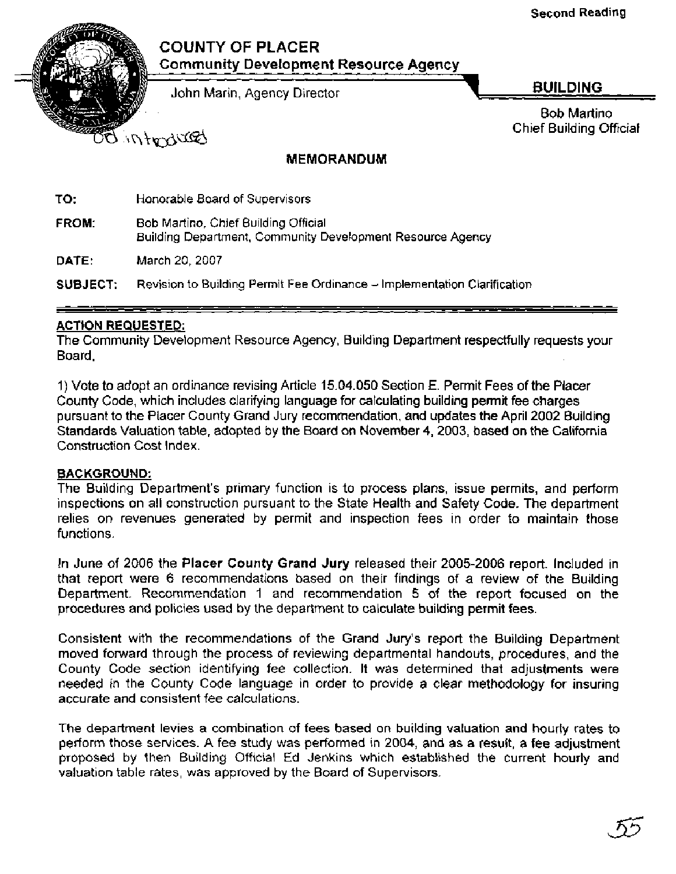## **COUNTY OF PLACER Communitv Development Resource Agency**

John Marin, Agency Director **BUILDING** 

Bob Martino Bob Martino<br>Chief Building Official

BULLY IN O

## **MEMORANDUM**

**TO:** Honorable Board of Supervisors

**FROM:** Bob Martino, Chief Building Official Building Department, Community Development Resource Agency

**DATE:** March 20, 2007

**SUBJECT:** Revision to Building Permit Fee Ordinance - Implementation Clarification

#### **ACTION REQUESTED:**

The Community Development Resource Agency, Building Department respectfully requests your Board,

I) Vote to adopt an ordinance revising Article 15.04.050 Section E. Permit Fees of the Placer County Code, which includes clarifying language for calculating building permit fee charges pursuant to the Placer County Grand Jury recommendation, and updates the April 2002 Building Standards Valuation table, adopted by the Board on November 4, 2003, based on the California Construction Cost Index.

#### **BACKGROUND:**

The Building Department's primary function is to process plans, issue permits, and perform inspections on all construction pursuant to the State Health and Safety Code. The department relies on revenues generated by permit and inspection fees in order to maintain those functions.

In June of 2006 the **Placer County Grand Jury** released their 2005-2006 report. Included in that report were 6 recommendations based on their findings of a review of the Building Department. Recommendation 1 and recommendation 5 of the report focused on the procedures and policies used by the department to calculate building permit fees.

Consistent with the recommendations of the Grand Jury's report the Building Department moved forward through the process of reviewing departmental handouts, procedures, and the County Code section identifying fee collection. It was determined that adjustments were needed in the County Code language in order to provide a clear methodology for insuring accurate and consistent fee calculations.

The department levies a combination of fees based on building valuation and hourly rates to perform those services. A fee study was performed in 2004, and as a result, a fee adjustment proposed by then Building Official Ed Jenkins which established the current hourly and valuation table rates, was approved by the Board of Supervisors.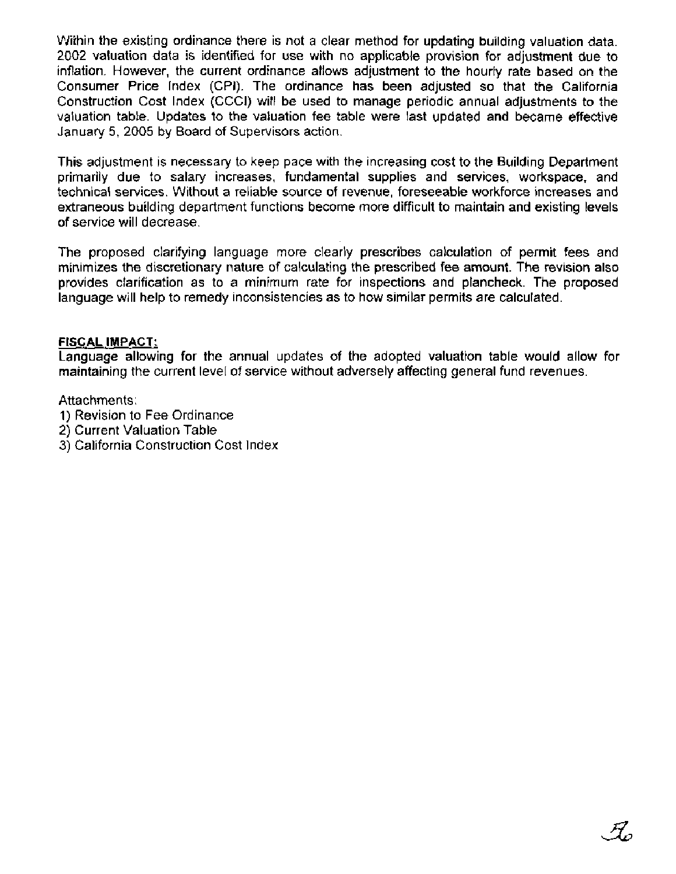Within the existing ordinance there is not a clear method for updating building valuation data. 2002 valuation data is identified for use with no applicable provision for adjustment due to inflation. However, the current ordinance allows adjustment to the hourly rate based on the Consumer Price lndex (CPI). The ordinance has been adjusted so that the California Construction Cost lndex (CCCI) will be used to manage periodic annual adjustments to the valuation table. Updates to the valuation fee table were last updated and became effective January 5, 2005 by Board of Supervisors action.

This adjustment is necessary to keep pace with the increasing cost to the Building Department primarily due to salary increases, fundamental supplies and services, workspace, and technical services. Without a reliable source of revenue, foreseeable workforce increases and extraneous building department functions become more difficult to maintain and existing levels of service will decrease.

The proposed clarifying language more clearly prescribes calculation of permit fees and minimizes the discretionary nature of calculating the prescribed fee amount. The revision also provides clarification as to a minimum rate for inspections and plancheck. The proposed language will help to remedy inconsistencies as to how similar permits are calculated.

#### **FISCAL IMPACT:**

Language allowing for the annual updates of the adopted valuation table would allow for maintaining the current level of service without adversely affecting general fund revenues.

#### Attachments:

- 1) Revision to Fee Ordinance
- 2) Current Valuation Table
- 3) California Construction Cost lndex

 $\mathcal{H}_a$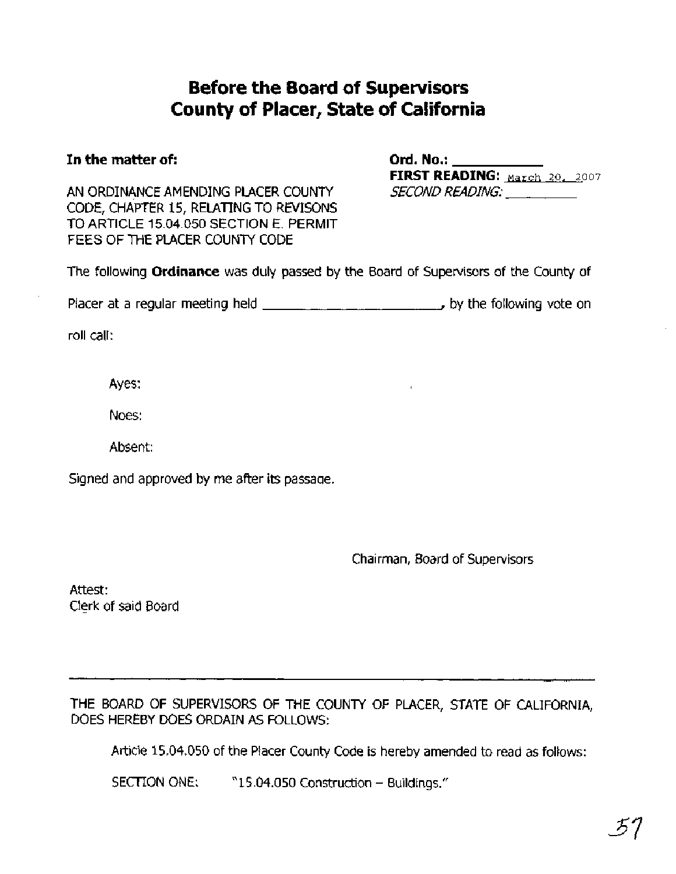# **Before the Board of Supervisors County of Placer, State of California**

## **In the matter of: Ord. No.:**

AN ORDINANCE AMENDING PLACER COUNTY SECOND READING: CODE, CHAPTER 15, RELATING TO REVISONS TO ARTICLE 15.04.050 SECTION E. PERMIT FEES OF THE PLACER COUNTY CODE

**FIRST READING:**  $\text{Maxch } 20, 2007$ 

The following **Ordinance** was duly passed by the Board of Supervisors of the County of

Placer at a regular meeting held , by the following vote on

roll call:

Ayes:

Noes:

Absent:

Signed and approved by me after its passaqe.

Chairman, Board of Supervisors

Attest: Clerk of said Board

THE BOARD OF SUPERVISORS OF THE COUNTY OF PLACER, STATE OF CALIFORNIA, DOES HEREBY DOES ORDAIN AS FOLLOWS:

Article 15.04.050 of the Placer County Code is hereby amended to read as follows:

SECTION ONE: "15.04.050 Construction - Buildings."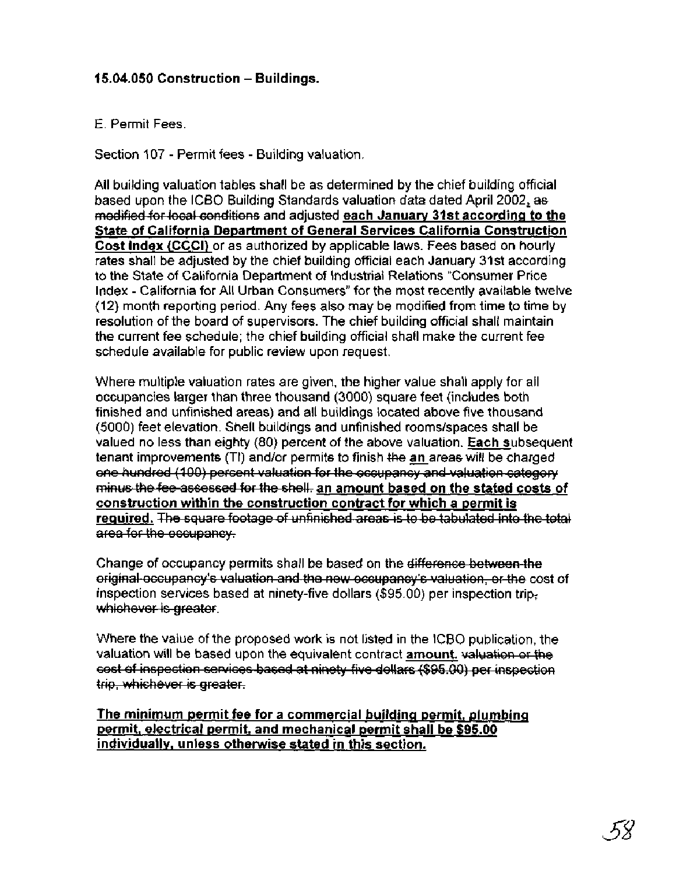## **15.04.050 Construction** - **Buildings.**

#### E. Permit Fees.

Section 107 - Permit fees - Building valuation.

All building valuation tables shall be as determined by the chief building official based upon the ICBO Building Standards valuation data dated April 2002, **as**  medified for local conditions and adjusted each January 31st according to the **State of California Department of General Services California Construction Cost lndex (CCCI)** or as authorized by applicable laws. Fees based on hourly rates shall be adjusted by the chief building official each January 31st according to the State of California Department of Industrial Relations "Consumer Price lndex - California for All Urban Consumers" for the most recently available twelve (12) month reporting period. Any fees also may be modified from time to time by resolution of the board of supervisors. The chief building official shall maintain the current fee schedule; the chief building official shall make the current fee schedule available for public review upon request. E. Permit Fees.<br>
Section 107 - Permit fees - Building valuation.<br>
Section 107 - Permit fees - Building valuation.<br>
All building valuation tables shall be as determined by the chief building official<br>
Nased upon the ICBO Bu Construction – Buildings.<br>
Construction – Building valuation<br>
The method as shall be as determined by the chief building of ficial<br>
valuation ficial constants valuation data dated April 2002, as<br>
the ficial constants and a

Where multiple valuation rates are given, the higher value shall apply for all occupancies larger than three thousand (3000) square feet (includes both finished and unfinished areas) and all buildings located above five thousand (5000) feet elevation. Shell buildings and unfinished rooms/spaces shall be valued no less than eighty (80) percent of the above valuation. **Each** subsequent tenant improvements (TI) and/or permits to finish the an areas will be charged minus the fee assessed for the shell, an amount based on the stated costs of **<u>construction within the construction contract for which a permit is</u><br>required. The square footage of unfinished areas is to be tabulated into the total** 

Change of occupancy permits shall be based on the  $\cdot$ original-occupancy's valuation and the new occupancy's valuation, or the cost of

Where the value of the proposed work is not listed in the ICBO publication, the valuation will be based upon the equivalent contract **amount.** 

The minimum permit fee for a commercial building permit, plumbing **permit, electrical permit, and mechanical permit shall be \$95.00 individually, unless otherwise stated in this section.**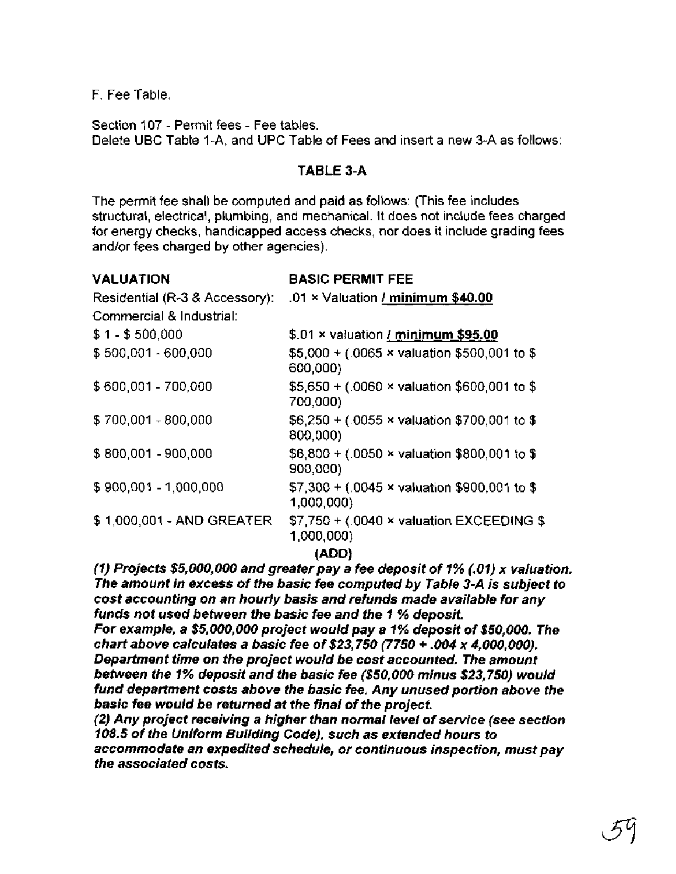F. Fee Table.

Section I07 - Permit fees - Fee tables. Delete UBC Table I-A, and UPC Table of Fees and insert a new 3-A as follows:

### **TABLE 3-A**

The permit fee shall be computed and paid as follows: (This fee includes structural, electrical, plumbing, and mechanical. It does not include fees charged for energy checks, handicapped access checks, nor does it include grading fees and/or fees charged by other agencies).

| <b>VALUATION</b>               | <b>BASIC PERMIT FEE</b>                                           |
|--------------------------------|-------------------------------------------------------------------|
| Residential (R-3 & Accessory): | .01 x Valuation / minimum \$40.00                                 |
| Commercial & Industrial:       |                                                                   |
| \$1-\$500,000                  | \$.01 x valuation / minimum \$95.00                               |
| \$500,001 - 600,000            | \$5,000 + (.0065 × valuation \$500,001 to \$<br>600,000)          |
| \$600,001 - 700,000            | \$5,650 + (.0060 $\times$ valuation \$600,001 to \$<br>700,000)   |
| \$700,001 - 800,000            | $$6,250 + (.0055 \times$ valuation \$700,001 to \$<br>800,000)    |
| \$800,001 - 900,000            | \$6,800 + (.0050 $\times$ valuation \$800,001 to \$<br>900,000)   |
| \$900,001 - 1,000,000          | \$7,300 + (.0045 $\times$ valuation \$900,001 to \$<br>1,000,000) |
| \$ 1,000,001 - AND GREATER     | $$7,750 + (0040 \times$ valuation EXCEEDING \$<br>1,000,000)      |
|                                | (ADD)                                                             |

**(ADD)** (1) Projects \$5,000,000 and greater pay a fee deposit of I % (. 01) x valuation. The amount in excess of the basic fee computed by Table 3-A is subject to cost accounting on an hourly basis and refunds made available for any funds not used between the basic fee and the I % deposit.

For example, a \$5,000,000 project would pay a 1 % deposit of \$50,000. The chart above calculates a basic fee of \$23,750  $(7750 + .004 \times 4.000,000)$ . Department time on the project would be cost accounted. The amount between the 1% deposit and the basic fee (\$50,000 minus \$23,750) would fund department costs above the basic fee. Any unused portion above the basic fee would be returned at the final of the project.

(2) Any project receiving a higher than normal level of service (see section 108.5 of the Uniform Building Code), such as extended hours to accommodate an expedited schedule, or continuous inspection, must pay the associated costs.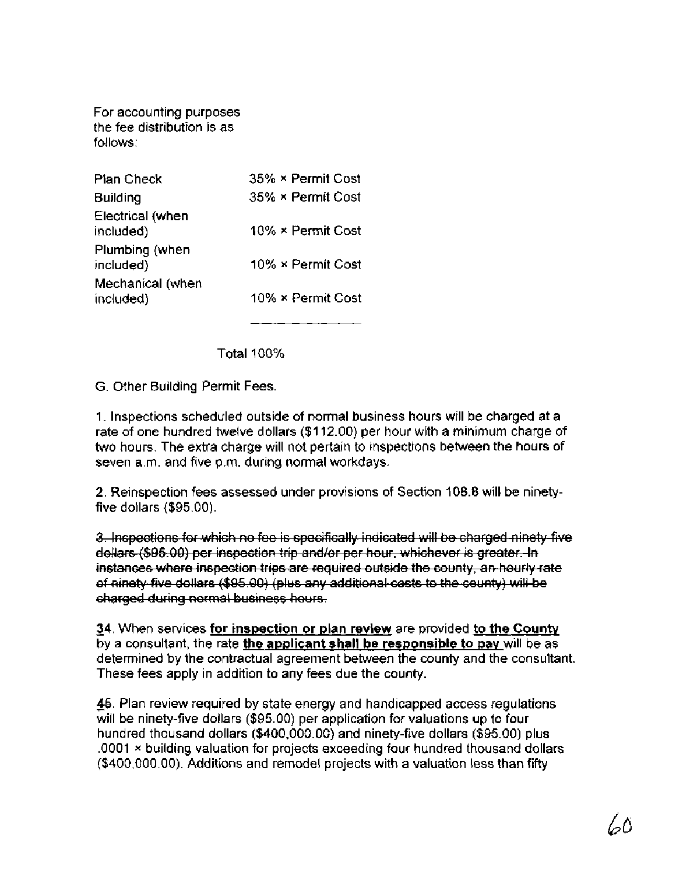For accounting purposes the fee distribution is as follows:

| Pian Check                    | 35% × Permit Cost |
|-------------------------------|-------------------|
| <b>Building</b>               | 35% × Permit Cost |
| Electrical (when<br>included) | 10% × Permit Cost |
| Plumbing (when<br>included)   | 10% × Permit Cost |
| Mechanical (when<br>included) | 10% × Permit Cost |

Total 100%

G. Other Building Permit Fees.

1. Inspections scheduled outside of normal business hours will be charged at a rate of one hundred twelve dollars (\$1 12.00) per hour with a minimum charge of two hours. The extra charge will not pertain to inspections between the hours of seven a.m. and five p.m. during normal workdays.

2. Reinspection fees assessed under provisions of Section 108.8 will be ninetyfive dollars (\$95.00).

3. Inspections for which no fee is specifically indicated will be charged ninety five dollars (\$95.00) per inspection trip and/or per hour, whichever is greater. In instances where inspection trips are required outside the county, an hourly rate of ninety five dollars (\$95.00) (plus any additional costs to the county) will be charged during normal business hours.

- **34.** When services **for inspection or plan review** are provided **to the Countv**  by a consultant, the rate **the applicant shall be responsible to pay** will be as determined by the contractual agreement between the county and the consultant. These fees apply in addition to any fees due the county.

46. Plan review required by state energy and handicapped access regulations will be ninety-five dollars (\$95.00) per application for valuations up to four hundred thousand dollars (\$400,000.00) and ninety-five dollars (\$95.00) plus .0001 **x** building valuation for projects exceeding four hundred thousand dollars (\$400,000.00). Additions and remodel projects with a valuation less than fifty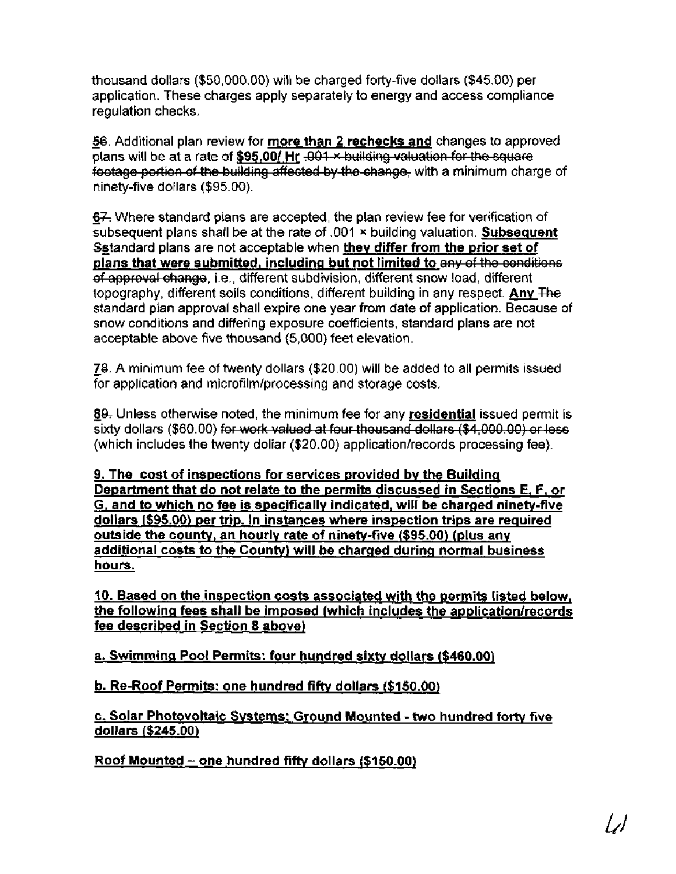thousand dollars (\$50,000.00) will be charged forty-five dollars (\$45.00) per application. These charges apply separately to energy and access compliance regulation checks.

56. Additional plan review for more than 2 rechecks and changes to approved plans will be at a rate of \$95.00/ Hr .001-x building valuation for the square footage portion of the building affected by the change, with a minimum charge of ninety-five dollars (\$95.00).

67. Where standard plans are accepted, the plan review fee for verification of subsequent plans shall be at the rate of .001 **x** building valuation. Subsequent Sgtandard plans are not acceptable when they differ from the prior set of plans that were submitted, including but not limited to any of the conditions of approval change, i.e., different subdivision, different snow load, different topography, different soils conditions, different building in any respect. Any The standard plan approval shall expire one year from date of application. Because of snow conditions and differing exposure coefficients, standard plans are not acceptable above five thousand (5,000) feet elevation.

- **78.** A minimum fee of twenty dollars (\$20.00) will be added to all permits issued for application and microfilm/processing and storage costs.

- **89-** Unless otherwise noted, the minimum fee for any residential issued permit is sixty dollars (\$60.00) for work valued at four thousand dollars (\$4,000.00) or less (which includes the twenty dollar  $($20.00)$  application/records processing fee).

9. The cost of inspections for services provided bv the Building Department that do not relate to the permits discussed in Sections **E,** F, or G, and to which no fee is specificallv indicated, will be charaed ninety-five dollars (\$95.00) per trip. In instances where inspection trips are required outside the county, an hourly rate of ninety-five (\$95.00) (plus any additional costs to the County) will be charged during normal business hours.

10. Based on the inspection costs associated with the permits listed below, the following fees shall be imposed (which includes the application/records fee described in Section 8 above)

a. Swimming Pool Permits: four hundred sixty dollars (\$460.00)

b. Re-Roof Permits: one hundred fifty dollars (\$150.00)

c. Solar Photovoltaic Systems: Ground Mounted - two hundred fortv five dollars (\$245.00)

Roof Mounted - one hundred **fiftv** dollars (\$1 50.00)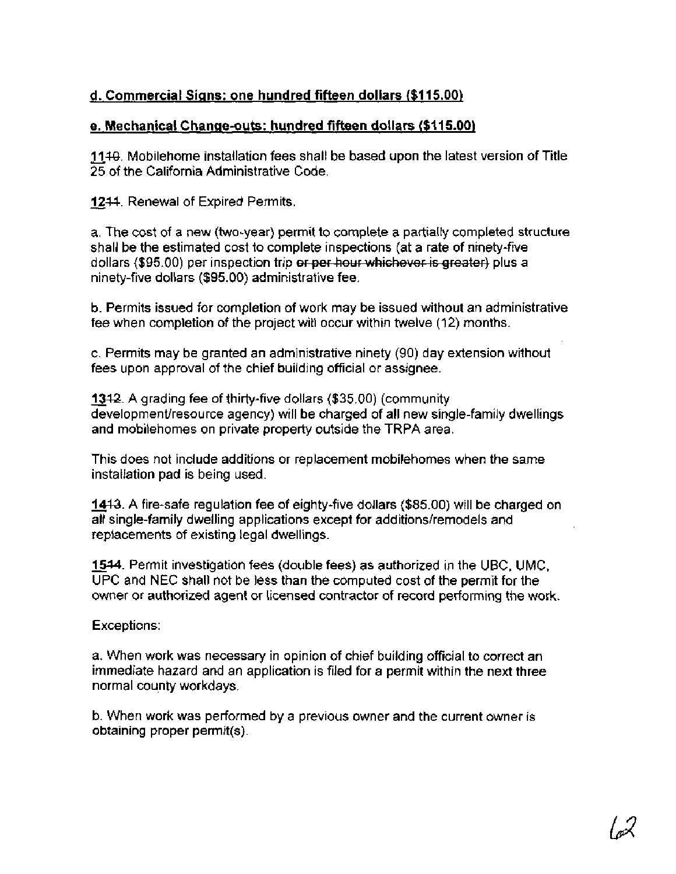## **d. Commercial Siqns: one hundred fifteen dollars (\$1 15.00)**

## **e. Mechanical Change-outs: hundred fifteen dollars (\$1 15.00)**

- **1118.** Mobilehome installation fees shall be based upon the latest version of Title 25 of the California Administrative Code.

**1244. Renewal of Expired Permits.** 

a. The cost of a new (two-year) permit to complete a partially completed structure shall be the estimated cost to complete inspections (at a rate of ninety-five d. Commercial Signs: one hundred fifteen dollars (\$115.00)<br>
• Mechanical Change-outs: hundred fifteen dollars (\$115.00)<br>
1149. Mobilehome installation fees shall be based upon the latest version of Title<br>
25 of the Califor ninety-five dollars (\$95.00) administrative fee.

b. Permits issued for completion of work may be issued without an administrative fee when completion of the project will occur within twelve (12) months.

c. Permits may be granted an administrative ninety (90) day extension without

fees upon approval of the chief building official or assignee.<br><u>13</u>12. A grading fee of thirty-five dollars (\$35.00) (community<br>development/resource agency) will be charged of all new sing development/resource agency) will be charged of all new single-family dwellings and mobilehomes on private property outside the TRPA area.

This does not include additions or replacement mobilehomes when the same installation pad is being used.

**1413.** A fire-safe regulation fee of eighty-five dollars (\$85.00) will be charged on all single-family dwelling applications except for additions/remodels and replacements of existing legal dwellings.

- **1514.** Permit investigation fees (double fees) as authorized in the UBC, UMC, UPC and NEC shall not be less than the computed cost of the permit for the owner or authorized agent or licensed contractor of record performing the work.

Exceptions:

a. When work was necessary in opinion of chief building official to correct an immediate hazard and an application is filed for a permit within the next three normal county workdays.

b. When work was performed by a previous owner and the current owner is obtaining proper permit(s).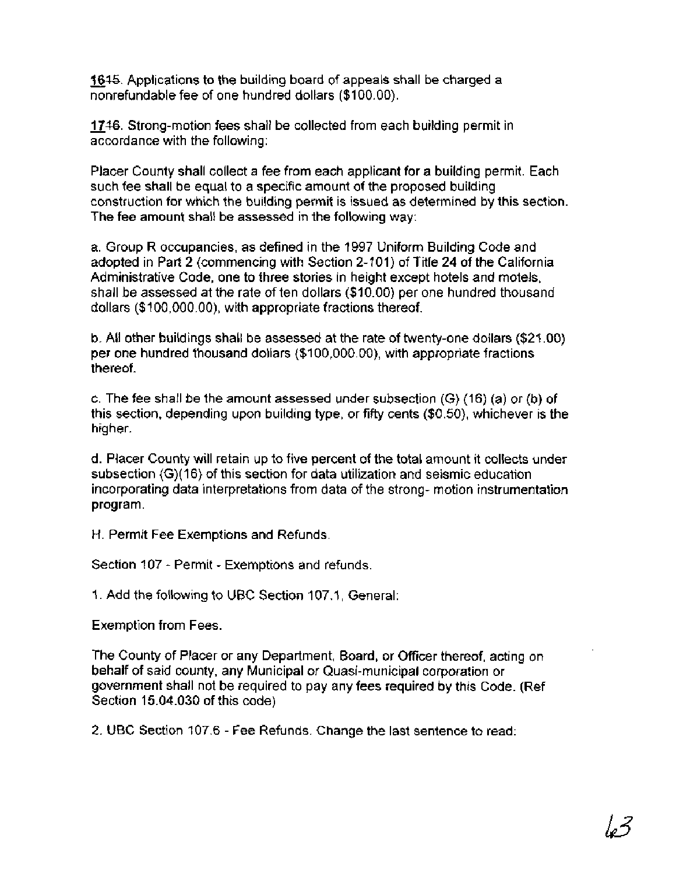1645. Applications to the building board of appeals shall be charged a nonrefundable fee of one hundred dollars (\$100.00).

**1746.** Strong-motion fees shall be collected from each building permit in accordance with the following:

Placer County shall collect a fee from each applicant for a building permit. Each such fee shall be equal to a specific amount of the proposed building construction for which the building permit is issued as determined by this section. The fee amount shall be assessed in the following way:

a. Group R occupancies, as defined in the 1997 Uniform Building Code and adopted in Part 2 (commencing with Section 2-101) of Title 24 of the California Administrative Code, one to three stories in height except hotels and motels, shall be assessed at the rate of ten dollars (\$1 0.00) per one hundred thousand dollars (\$100,000.00), with appropriate fractions thereof.

b. All other buildings shall be assessed at the rate of twenty-one dollars (\$21.00) per one hundred thousand dollars (\$1 00,000.00), with appropriate fractions thereof.

c. The fee shall be the amount assessed under subsection (G) (16) (a) or (b) of this section, depending upon building type, or fifty cents (\$0.50), whichever is the higher.

d. Placer County will retain up to five percent of the total amount it collects under subsection (G)(16) of this section for data utilization and seismic education incorporating data interpretations from data of the strong- motion instrumentation program.

H. Permit Fee Exemptions and Refunds.

Section 107 - Permit - Exemptions and refunds.

1. Add the following to UBC Section 107.1, General:

Exemption from Fees.

The County of Placer or any Department, Board, or Officer thereof, acting on behalf of said county, any Municipal or Quasi-municipal corporation or government shall not be required to pay any fees required by this Code. (Ref Section 15.04.030 of this code)

2. UBC Section 107.6 - Fee Refunds. Change the last sentence to read: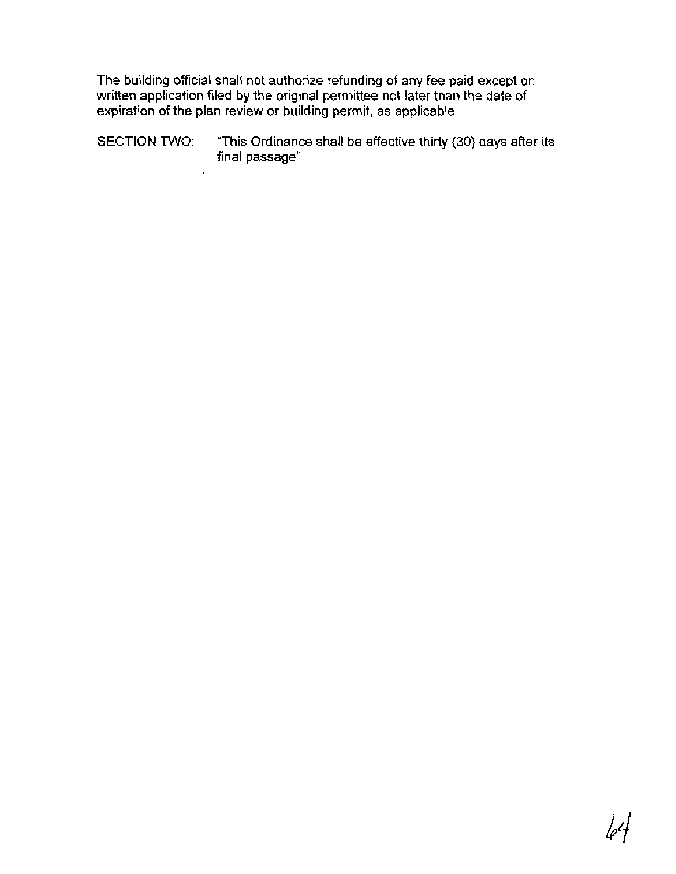The building official shall not authorize refunding of any fee paid except on written application filed by the original permittee not later than the date of expiration of the plan review or building permit, as applicable.

SECTION TWO: "This Ordinance shall be effective thirty (30) days after its final passage"

 $\bar{\mathbf{r}}$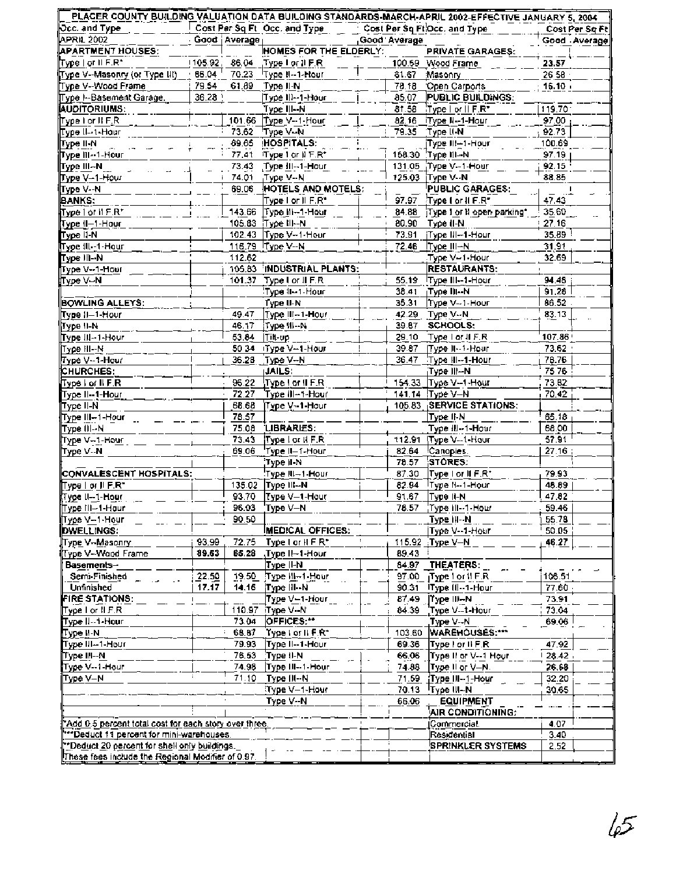| $\overline{\bowtie}$ cc. and Type                      |         |                | Cost Per Sq Ft Occ. and Type      |              | Cost Per Sq Ft Occ. and Type    | Cost Per Sq Ft |
|--------------------------------------------------------|---------|----------------|-----------------------------------|--------------|---------------------------------|----------------|
| APRIL 2002                                             |         | Good   Average |                                   | Good Average |                                 | Good Average   |
| <b>APARTMENT HOUSES:</b>                               |         |                | HOMES FOR THE ELDERLY:            |              | PRIVATE GARAGES:                |                |
| Type I or II F.R*                                      |         |                | [105.92, 86.04], Type Lor II F.R. |              | 100.59 Wood Frame               | 23.57          |
| Type V--Masonry (or Type III)                          |         |                | 66.04 70.23 Type II-1-Hour        |              | 81.67 Masonry                   | 26.58          |
| Type V-Wood Frame                                      |         |                | 79.54 61.89 Type II-N             |              | 78.18 Open Carports             | $16.10 +$      |
| Type I -- Basement Garage.                             | 36.28 \ |                | Type III--1-Hour                  | 85.07        | PUBLIC BUILDINGS:               |                |
| <b>AUDITORIUMS:</b>                                    |         |                | Type III--N                       |              | 81.58 Type For II F.R*          | 119.70         |
| ∏Type I or II F.R.                                     |         |                | 101.66 Type V--1-Hour             |              | 82.16 Type N--1-Hour            | 97.00          |
| ∥Туре II⊶1-Hour                                        |         |                | 73.62 Type V-N                    |              | 79.35 Type II-N                 | 92.73          |
| ∥Type II-N                                             |         |                | 69.65 HOSPITALS:                  |              | Type III–1-Hour                 | 100.69         |
| Type III--1-Hour                                       |         |                | 77.41 Type I or II F.R*           |              | 158.30 Type III--N              | 97.19          |
| ∏ype III⊷N                                             |         |                | 73.43 Type III--1-Hour            |              | 131.05 Type V-1-Hour            | 92.15          |
|                                                        |         |                |                                   |              |                                 | 88.85          |
| ∏ype V–1-Hour                                          |         |                | 74.01 Type V--N                   |              | 125.03 Type V--N                |                |
| Type V-N                                               |         | 69.06          | HOTELS AND MOTELS:                |              | PUBLIC GARAGES:                 | 47.43          |
| BANKS:                                                 |         |                | Type I or II F.R*                 |              | 97.97 Type for II F.R"          |                |
| Type I or II F.R*                                      |         |                | 143.66 Type III-1-Hour            |              | 84.88 Type I or N open parking* | 35.60          |
| Type (I-1-Hour)                                        |         |                | 105.83 Туре III--N                |              | 80.90 Type (I-N)                | 27.16          |
| Type II-N                                              |         |                | 102.43 Type V--1-Hour             |              | 73.91   Type III--1-Hour        | 35.89 !        |
| Type III--1-Hour                                       |         |                | 116.79 Type V--N                  |              | 72.46 Type III-N                | 31.91          |
| Type III--Ni                                           |         | 112.62         |                                   |              | Type V--1-Hour                  | 32.69          |
| Type V--1-Hour                                         |         |                | 105.83 INDUSTRIAL PLANTS:         |              | <b>RESTAURANTS:</b>             |                |
| Type V-N                                               |         |                | 101.37 Type I or II F.R.          | 55.19        | Type III-1-Hour                 | 94.48          |
|                                                        |         |                | Type II--1-Hour                   |              | 38.41   Туре III -- N           | 91.28          |
| <b>BOWLING ALLEYS:</b>                                 |         |                | Type II-N                         |              | 35.31 Type V--1-Hour            | 86.52          |
| Type II–1-Hour                                         |         | 49.47          | Type III-1-Hour                   |              | 42.29 Type V--N                 | 83.13          |
| Туре II-N                                              |         |                | 46.17 Type III--N                 |              | 39.87 SCHOOLS:                  |                |
| Type III--1-Hour                                       |         | 53.84          | Tilt-up                           |              | 29.10 Type   or II F.R          | 107.86         |
| ∏ype III--Ni                                           |         |                | 50:34 Type V--1-Hour              |              | 39.87   Type II -- 1- Hour      | 73.62          |
| ∦Type V⊷1-Hour                                         |         |                | 36.28 Туре V-N                    |              | 36.47 Type III--1-Hour          | 78.76          |
| <b>CHURCHES:</b>                                       |         |                | <b>JAILS:</b>                     |              | Type III--N                     | 75 76          |
| Type I of II F.R.                                      |         | 96.22          | Type I or II F.R.                 |              | 154.33 Type V-1-Hour            | 73.82          |
| Type II--1-Hour                                        |         | 72.27          | Type III--1-Hour                  |              | 141.14 Type V-N                 | 70.42          |
| ∏туре II-N                                             |         | 68.68          | Type V--1-Hour                    |              | 105.83 SERVICE STATIONS:        |                |
| Type III⊶1-Hour_                                       |         | 78.57          |                                   |              | Type II-N                       | 65.18          |
| Type III--N                                            |         | 75.08          | LIBRARIES:                        |              | Type III--1-Hour                | 68.00          |
| Type V-1-Hour                                          |         | 73.43          | Type I or II F.R                  |              | 112.91 Type V--1-Hour           | 57.91          |
| ∥Type V⊹N                                              |         | 69.06          | 'Type II–1-Hour                   |              | 82.64 Canopies.                 | 27.16          |
|                                                        |         |                | Type II-N                         | 78.57        | STORES:                         |                |
| CONVALESCENT HOSPITALS:                                |         |                | Type III-1-Hour                   | 87.30        | Type I or II F.R*               | 79.93          |
|                                                        |         |                |                                   |              |                                 |                |
| ∏Type Ior II F.R"                                      |         |                | 135.02 Type III-N                 |              | 82.94 Type H--1-Hour            | 48.89          |
| Type II-1-Hour                                         |         | 93.70          | Type V-1-Hour                     | 91.67        | Type ii-N                       | 47.82          |
| Type III-1-Hour                                        |         |                | 96.03 Type V-N                    |              | 78.57 Type III--1-Hour          | 59.46          |
| ∥Type V--1-Hour                                        |         | 90.50          |                                   |              | Type III--N.                    | 55.78          |
| DWELLINGS:                                             |         |                | <b>IMEDICAL OFFICES:</b>          |              | Type V--1-Hour                  | 50.05          |
| Type V-Masonry                                         | 93.99   | 72.75          | Type I or II F R*                 |              | 115.92 Type V-N                 | 46.27          |
| Type V--Wood Frame                                     | 89.63   | 65.28          | Type II-1-Hour                    | 89.43        |                                 |                |
| Basements-                                             |         |                | Type II-N                         | 84.97        | THEATERS:                       |                |
| Semi-Finished                                          | 22.50   | 19.50          | Type III-1-Hour                   |              | 97.00 Type 1 or II F.R          | 106.51         |
| Unfinished                                             | 17.17   | 14.16          | Type III--N                       | 90.31        | iType III--1-Hour               | 77.60          |
| <b>FIRE STATIONS:</b>                                  |         |                | Type V—1-Hour                     | 87.49        | ∣Type ⊞⊶N                       | 73.91          |
| ∏yoe I or II F.R.                                      |         | 110.97         | Type V--N                         | 84.39        | Type V--1-Hour                  | 73.04          |
| Type II--1-Hour                                        |         | 73.04          | OFFICES:"                         |              | Type V--N                       | $-69.06$       |
| ∏уре II-N                                              |         | 68.87          | Type Lor II F.R*,                 | 103.60       | WAREHOUSES:***                  |                |
| Type III-1-Hour                                        |         | 79.93          | Type II--1-Hour                   | 69.36        | Type For II F.R.                | 47.92          |
| ∏′уре III⊶N                                            |         | 76.53          | Type II-N                         | 66.06        | Type II or V--1 Hour            | 28.42          |
| Type V--1-Hour                                         |         | 74.98          | Type III--1-Hour                  | 74.88        | Type II or V-N.                 | 26.68          |
| Type V–N                                               |         | 71.10          | Type III--N                       | 71.59        | Type III--1-Hour                | 32.20          |
|                                                        |         |                | Type V-1-Hour                     |              | 70.13 Type III-N                | 30.65          |
|                                                        |         |                | Type V--N                         | 66.06        | <b>EQUIPMENT</b>                |                |
|                                                        |         |                |                                   |              | AIR CONDITIONING:               |                |
| "Add 0.5 percent total cost for each story over three. |         |                |                                   |              | ∣Commercial.                    | 4.07           |
| **Deduct 11 percent for mini-warehouses.               |         |                |                                   |              | Residential                     | 3.40           |
| **Deduct 20 percent for shell only buildings.          |         |                |                                   |              | <b>SPRINKLER SYSTEMS</b>        | 2.52           |
|                                                        |         |                |                                   |              |                                 |                |
| These fees include the Regional Modifier of 0.97.      |         |                |                                   |              |                                 |                |